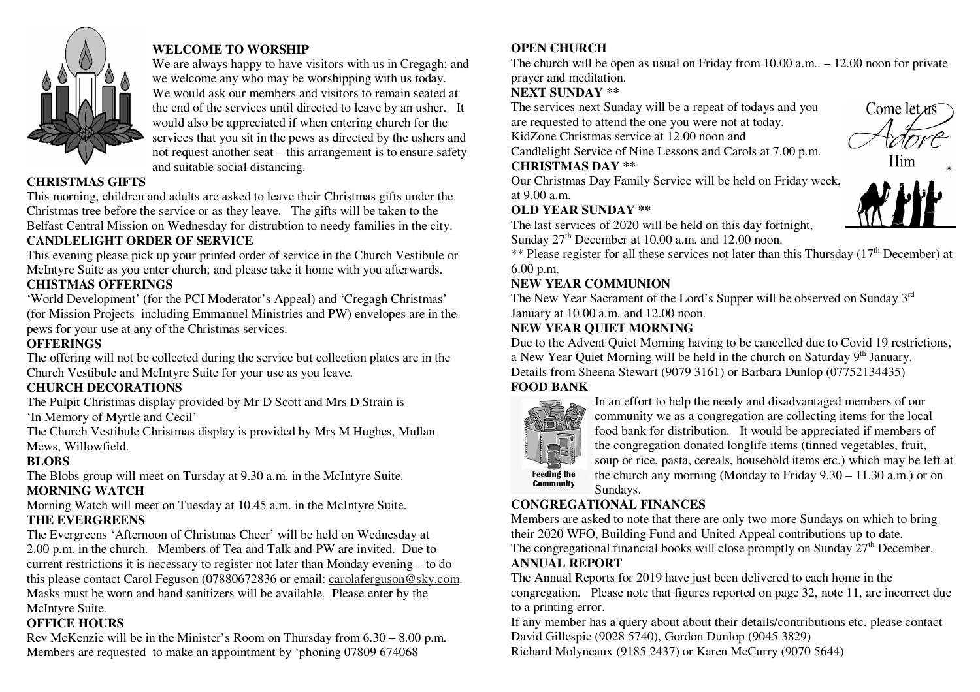

# **WELCOME TO WORSHIP**

 We are always happy to have visitors with us in Cregagh; and we welcome any who may be worshipping with us today. We would ask our members and visitors to remain seated at the end of the services until directed to leave by an usher. It would also be appreciated if when entering church for the services that you sit in the pews as directed by the ushers and not request another seat – this arrangement is to ensure safety and suitable social distancing.

## **CHRISTMAS GIFTS**

 This morning, children and adults are asked to leave their Christmas gifts under the Christmas tree before the service or as they leave. The gifts will be taken to the Belfast Central Mission on Wednesday for distrubtion to needy families in the city. **CANDLELIGHT ORDER OF SERVICE** 

 This evening please pick up your printed order of service in the Church Vestibule or McIntyre Suite as you enter church; and please take it home with you afterwards.

# **CHISTMAS OFFERINGS**

 'World Development' (for the PCI Moderator's Appeal) and 'Cregagh Christmas' (for Mission Projects including Emmanuel Ministries and PW) envelopes are in the pews for your use at any of the Christmas services.

# **OFFERINGS**

 The offering will not be collected during the service but collection plates are in the Church Vestibule and McIntyre Suite for your use as you leave.

## **CHURCH DECORATIONS**

 The Pulpit Christmas display provided by Mr D Scott and Mrs D Strain is 'In Memory of Myrtle and Cecil'

 The Church Vestibule Christmas display is provided by Mrs M Hughes, Mullan Mews, Willowfield.

## **BLOBS**

 The Blobs group will meet on Tursday at 9.30 a.m. in the McIntyre Suite. **MORNING WATCH** 

Morning Watch will meet on Tuesday at 10.45 a.m. in the McIntyre Suite.

# **THE EVERGREENS**

 The Evergreens 'Afternoon of Christmas Cheer' will be held on Wednesday at 2.00 p.m. in the church. Members of Tea and Talk and PW are invited. Due to current restrictions it is necessary to register not later than Monday evening – to do this please contact Carol Feguson (07880672836 or email: carolaferguson@sky.com. Masks must be worn and hand sanitizers will be available. Please enter by the McIntyre Suite.

# **OFFICE HOURS**

 Rev McKenzie will be in the Minister's Room on Thursday from 6.30 – 8.00 p.m. Members are requested to make an appointment by 'phoning 07809 674068

# **OPEN CHURCH**

 The church will be open as usual on Friday from 10.00 a.m.. – 12.00 noon for private prayer and meditation.

# **NEXT SUNDAY \*\***

 The services next Sunday will be a repeat of todays and you are requested to attend the one you were not at today.

KidZone Christmas service at 12.00 noon and

Candlelight Service of Nine Lessons and Carols at 7.00 p.m.

#### **CHRISTMAS DAY \*\***

 Our Christmas Day Family Service will be held on Friday week,at 9.00 a.m.

## **OLD YEAR SUNDAY \*\***

 The last services of 2020 will be held on this day fortnight, Sunday  $27<sup>th</sup>$  December at 10.00 a.m. and 12.00 noon.

\*\* Please register for all these services not later than this Thursday (17<sup>th</sup> December) at

# 6.00 p.m.

# **NEW YEAR COMMUNION**

The New Year Sacrament of the Lord's Supper will be observed on Sunday 3<sup>rd</sup> January at 10.00 a.m. and 12.00 noon.

# **NEW YEAR QUIET MORNING**

 Due to the Advent Quiet Morning having to be cancelled due to Covid 19 restrictions, a New Year Quiet Morning will be held in the church on Saturday 9<sup>th</sup> January. Details from Sheena Stewart (9079 3161) or Barbara Dunlop (07752134435) **FOOD BANK** 



In an effort to help the needy and disadvantaged members of our community we as a congregation are collecting items for the local food bank for distribution. It would be appreciated if members of the congregation donated longlife items (tinned vegetables, fruit, soup or rice, pasta, cereals, household items etc.) which may be left at the church any morning (Monday to Friday 9.30 – 11.30 a.m.) or on Sundays.

# **CONGREGATIONAL FINANCES**

 Members are asked to note that there are only two more Sundays on which to bring their 2020 WFO, Building Fund and United Appeal contributions up to date. The congregational financial books will close promptly on Sunday  $27<sup>th</sup>$  December.

## **ANNUAL REPORT**

 The Annual Reports for 2019 have just been delivered to each home in the congregation. Please note that figures reported on page 32, note 11, are incorrect due to a printing error.

 If any member has a query about about their details/contributions etc. please contact David Gillespie (9028 5740), Gordon Dunlop (9045 3829) Richard Molyneaux (9185 2437) or Karen McCurry (9070 5644)